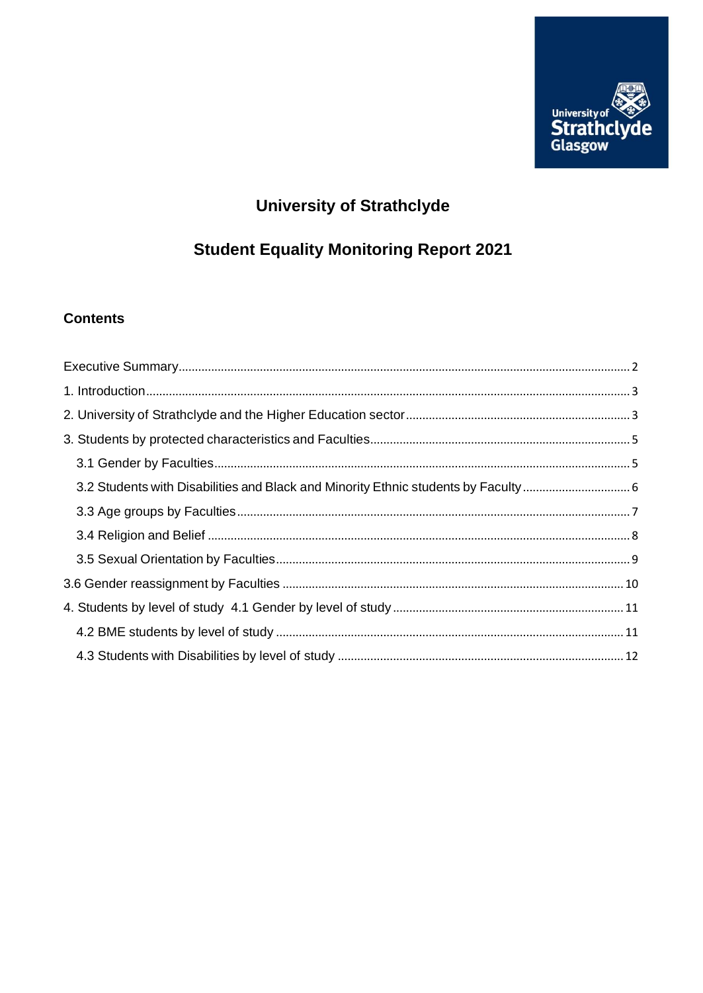

# **University of Strathclyde**

# **Student Equality Monitoring Report 2021**

## **Contents**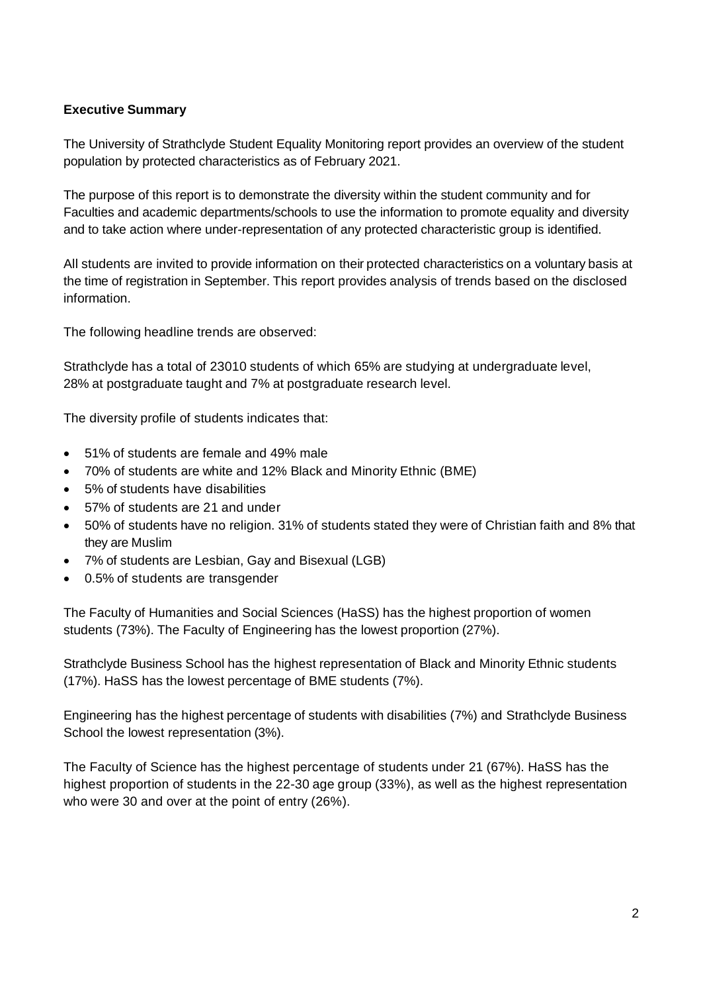#### <span id="page-1-0"></span>**Executive Summary**

The University of Strathclyde Student Equality Monitoring report provides an overview of the student population by protected characteristics as of February 2021.

The purpose of this report is to demonstrate the diversity within the student community and for Faculties and academic departments/schools to use the information to promote equality and diversity and to take action where under-representation of any protected characteristic group is identified.

All students are invited to provide information on their protected characteristics on a voluntary basis at the time of registration in September. This report provides analysis of trends based on the disclosed information.

The following headline trends are observed:

Strathclyde has a total of 23010 students of which 65% are studying at undergraduate level, 28% at postgraduate taught and 7% at postgraduate research level.

The diversity profile of students indicates that:

- 51% of students are female and 49% male
- 70% of students are white and 12% Black and Minority Ethnic (BME)
- 5% of students have disabilities
- 57% of students are 21 and under
- 50% of students have no religion. 31% of students stated they were of Christian faith and 8% that they are Muslim
- 7% of students are Lesbian, Gay and Bisexual (LGB)
- 0.5% of students are transgender

The Faculty of Humanities and Social Sciences (HaSS) has the highest proportion of women students (73%). The Faculty of Engineering has the lowest proportion (27%).

Strathclyde Business School has the highest representation of Black and Minority Ethnic students (17%). HaSS has the lowest percentage of BME students (7%).

Engineering has the highest percentage of students with disabilities (7%) and Strathclyde Business School the lowest representation (3%).

The Faculty of Science has the highest percentage of students under 21 (67%). HaSS has the highest proportion of students in the 22-30 age group (33%), as well as the highest representation who were 30 and over at the point of entry (26%).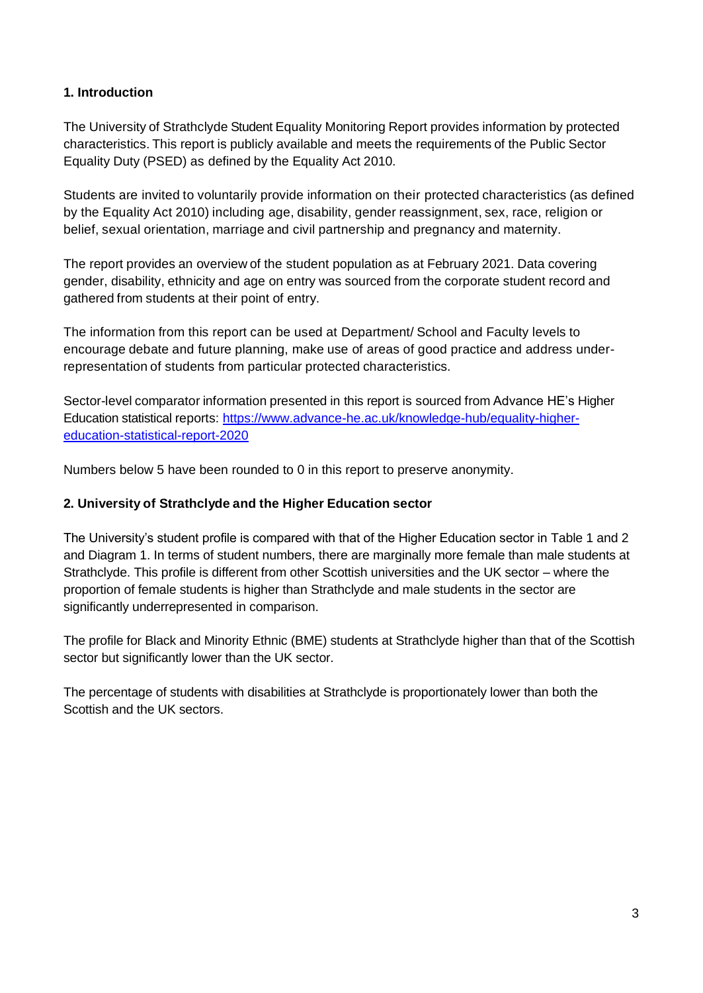#### <span id="page-2-0"></span>**1. Introduction**

The University of Strathclyde Student Equality Monitoring Report provides information by protected characteristics. This report is publicly available and meets the requirements of the Public Sector Equality Duty (PSED) as defined by the Equality Act 2010.

Students are invited to voluntarily provide information on their protected characteristics (as defined by the Equality Act 2010) including age, disability, gender reassignment, sex, race, religion or belief, sexual orientation, marriage and civil partnership and pregnancy and maternity.

The report provides an overview of the student population as at February 2021. Data covering gender, disability, ethnicity and age on entry was sourced from the corporate student record and gathered from students at their point of entry.

The information from this report can be used at Department/ School and Faculty levels to encourage debate and future planning, make use of areas of good practice and address underrepresentation of students from particular protected characteristics.

Sector-level comparator information presented in this report is sourced from Advance HE's Higher Education statistical reports: [https://www.advance-he.ac.uk/knowledge-hub/equality-higher](https://www.advance-he.ac.uk/knowledge-hub/equality-higher-education-statistical-report-2020)[education-statistical-report-2020](https://www.advance-he.ac.uk/knowledge-hub/equality-higher-education-statistical-report-2020)

Numbers below 5 have been rounded to 0 in this report to preserve anonymity.

#### <span id="page-2-1"></span>**2. University of Strathclyde and the Higher Education sector**

The University's student profile is compared with that of the Higher Education sector in Table 1 and 2 and Diagram 1. In terms of student numbers, there are marginally more female than male students at Strathclyde. This profile is different from other Scottish universities and the UK sector – where the proportion of female students is higher than Strathclyde and male students in the sector are significantly underrepresented in comparison.

The profile for Black and Minority Ethnic (BME) students at Strathclyde higher than that of the Scottish sector but significantly lower than the UK sector.

The percentage of students with disabilities at Strathclyde is proportionately lower than both the Scottish and the UK sectors.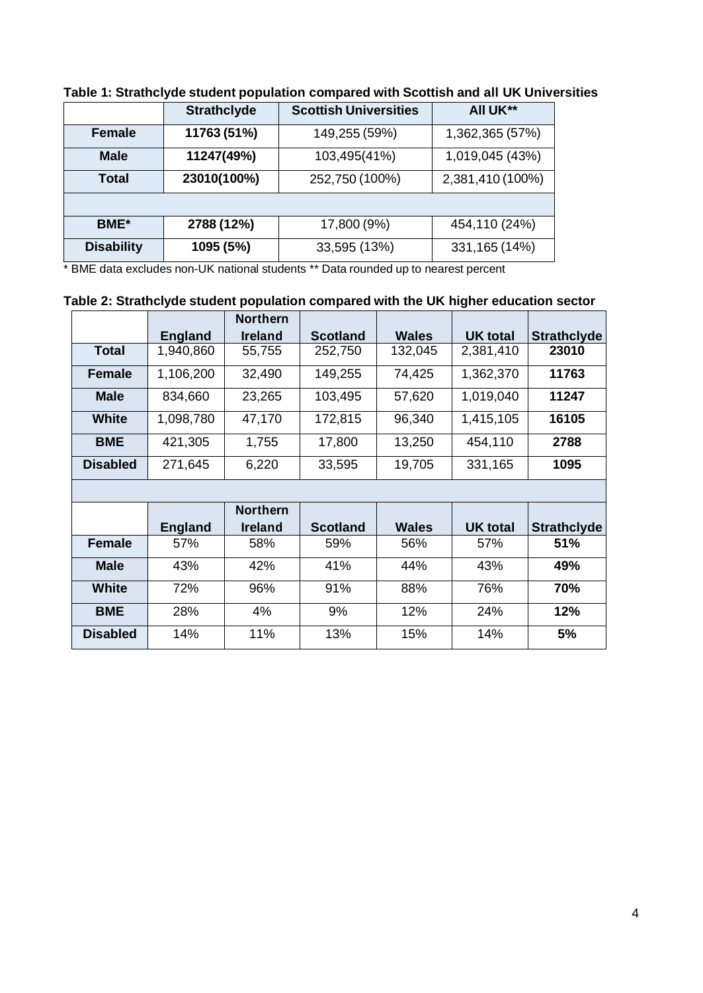|                   | <b>Strathclyde</b> | <b>Scottish Universities</b> | All UK**         |
|-------------------|--------------------|------------------------------|------------------|
| <b>Female</b>     | 11763 (51%)        | 149,255 (59%)                | 1,362,365 (57%)  |
| <b>Male</b>       | 11247(49%)         | 103,495(41%)                 | 1,019,045 (43%)  |
| Total             | 23010(100%)        | 252,750 (100%)               | 2,381,410 (100%) |
|                   |                    |                              |                  |
| <b>BME</b> *      | 2788 (12%)         | 17,800 (9%)                  | 454,110 (24%)    |
| <b>Disability</b> | 1095 (5%)          | 33,595 (13%)                 | 331, 165 (14%)   |

## **Table 1: Strathclyde student population compared with Scottish and all UK Universities**

\* BME data excludes non-UK national students \*\* Data rounded up to nearest percent

## **Table 2: Strathclyde student population compared with the UK higher education sector**

|                 |                | <b>Northern</b> |                 |              |                 |                    |
|-----------------|----------------|-----------------|-----------------|--------------|-----------------|--------------------|
|                 | <b>England</b> | <b>Ireland</b>  | <b>Scotland</b> | <b>Wales</b> | <b>UK total</b> | <b>Strathclyde</b> |
| <b>Total</b>    | 1,940,860      | 55,755          | 252,750         | 132,045      | 2,381,410       | 23010              |
| <b>Female</b>   | 1,106,200      | 32,490          | 149,255         | 74,425       | 1,362,370       | 11763              |
| <b>Male</b>     | 834,660        | 23,265          | 103,495         | 57,620       | 1,019,040       | 11247              |
| <b>White</b>    | 1,098,780      | 47,170          | 172,815         | 96,340       | 1,415,105       | 16105              |
| <b>BME</b>      | 421,305        | 1,755           | 17,800          | 13,250       | 454,110         | 2788               |
| <b>Disabled</b> | 271,645        | 6,220           | 33,595          | 19,705       | 331,165         | 1095               |

|                 |                | <b>Northern</b> |                 |              |                 |                    |
|-----------------|----------------|-----------------|-----------------|--------------|-----------------|--------------------|
|                 | <b>England</b> | <b>Ireland</b>  | <b>Scotland</b> | <b>Wales</b> | <b>UK total</b> | <b>Strathclyde</b> |
| <b>Female</b>   | 57%            | 58%             | 59%             | 56%          | 57%             | 51%                |
| <b>Male</b>     | 43%            | 42%             | 41%             | 44%          | 43%             | 49%                |
| <b>White</b>    | 72%            | 96%             | 91%             | 88%          | 76%             | 70%                |
| <b>BME</b>      | 28%            | 4%              | 9%              | 12%          | 24%             | 12%                |
| <b>Disabled</b> | 14%            | 11%             | 13%             | 15%          | 14%             | 5%                 |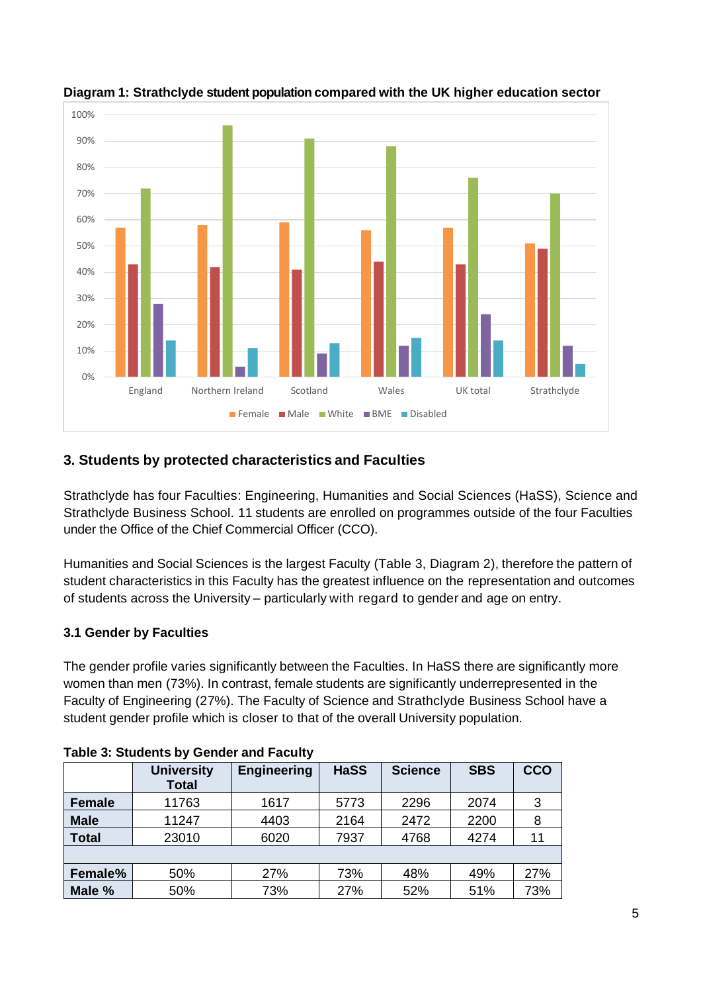

## **Diagram 1: Strathclyde student population compared with the UK higher education sector**

## <span id="page-4-0"></span>**3. Students by protected characteristics and Faculties**

Strathclyde has four Faculties: Engineering, Humanities and Social Sciences (HaSS), Science and Strathclyde Business School. 11 students are enrolled on programmes outside of the four Faculties under the Office of the Chief Commercial Officer (CCO).

Humanities and Social Sciences is the largest Faculty (Table 3, Diagram 2), therefore the pattern of student characteristics in this Faculty has the greatest influence on the representation and outcomes of students across the University – particularly with regard to gender and age on entry.

## <span id="page-4-1"></span>**3.1 Gender by Faculties**

The gender profile varies significantly between the Faculties. In HaSS there are significantly more women than men (73%). In contrast, female students are significantly underrepresented in the Faculty of Engineering (27%). The Faculty of Science and Strathclyde Business School have a student gender profile which is closer to that of the overall University population.

|               | <b>University</b><br><b>Total</b> | <b>Engineering</b> | <b>HaSS</b> | <b>Science</b> | <b>SBS</b> | <b>CCO</b> |  |  |  |
|---------------|-----------------------------------|--------------------|-------------|----------------|------------|------------|--|--|--|
| <b>Female</b> | 11763                             | 1617               | 5773        | 2296           | 2074       | 3          |  |  |  |
| <b>Male</b>   | 11247                             | 4403               | 2164        | 2472           | 2200       | 8          |  |  |  |
| <b>Total</b>  | 23010                             | 6020               | 7937        | 4768           | 4274       | 11         |  |  |  |
|               |                                   |                    |             |                |            |            |  |  |  |
| Female%       | 50%                               | 27%                | 73%         | 48%            | 49%        | 27%        |  |  |  |
| Male %        | 50%                               | 73%                | 27%         | 52%            | 51%        | 73%        |  |  |  |

#### **Table 3: Students by Gender and Faculty**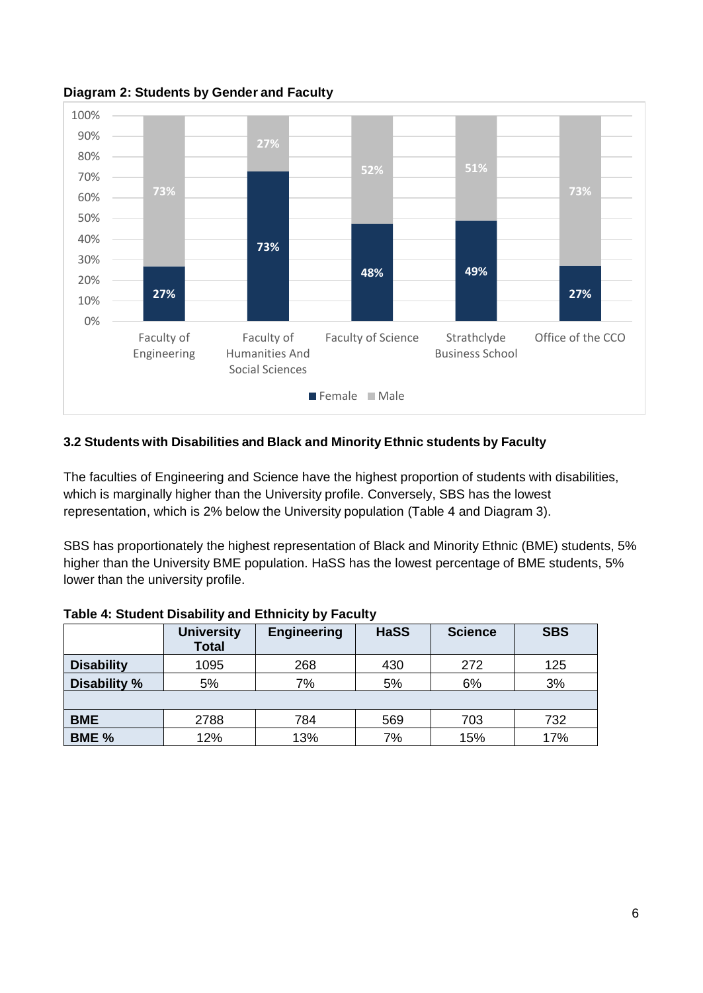

**Diagram 2: Students by Gender and Faculty**

#### <span id="page-5-0"></span>**3.2 Students with Disabilities and Black and Minority Ethnic students by Faculty**

The faculties of Engineering and Science have the highest proportion of students with disabilities, which is marginally higher than the University profile. Conversely, SBS has the lowest representation, which is 2% below the University population (Table 4 and Diagram 3).

SBS has proportionately the highest representation of Black and Minority Ethnic (BME) students, 5% higher than the University BME population. HaSS has the lowest percentage of BME students, 5% lower than the university profile.

|                   | <b>University</b><br><b>Total</b> | <b>Engineering</b> | <b>HaSS</b> | <b>Science</b> | <b>SBS</b> |
|-------------------|-----------------------------------|--------------------|-------------|----------------|------------|
| <b>Disability</b> | 1095                              | 268                | 430         | 272            | 125        |
| Disability %      | 5%                                | 7%                 | 5%          | 6%             | 3%         |
|                   |                                   |                    |             |                |            |
| <b>BME</b>        | 2788                              | 784                | 569         | 703            | 732        |
| BME %             | 12%                               | 13%                | 7%          | 15%            | 17%        |

#### **Table 4: Student Disability and Ethnicity by Faculty**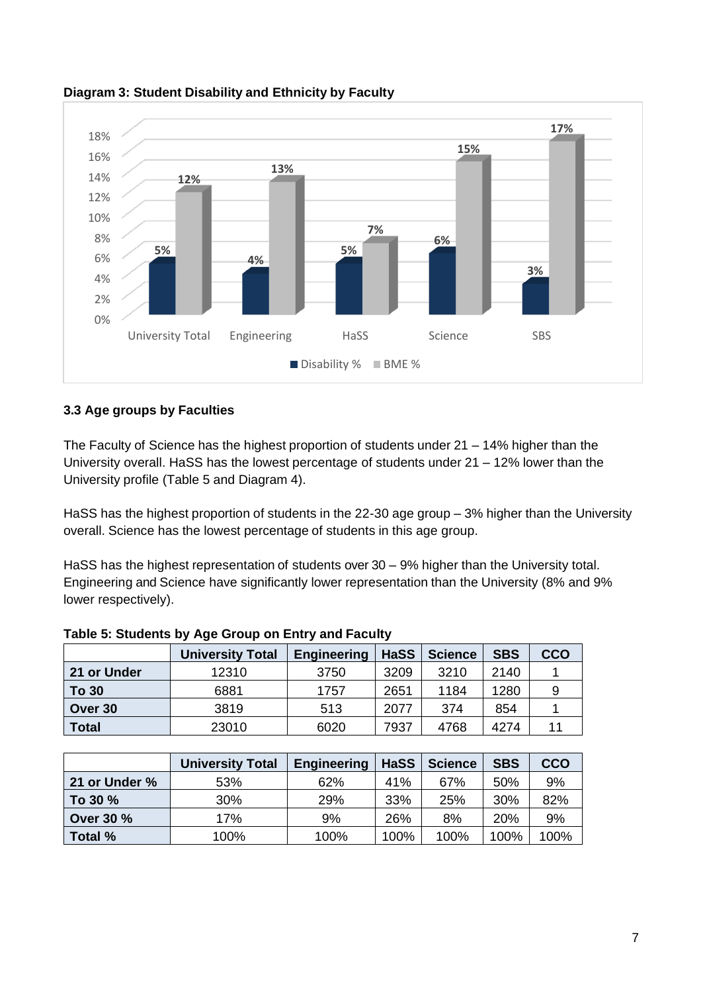

#### **Diagram 3: Student Disability and Ethnicity by Faculty**

#### <span id="page-6-0"></span>**3.3 Age groups by Faculties**

The Faculty of Science has the highest proportion of students under 21 – 14% higher than the University overall. HaSS has the lowest percentage of students under 21 – 12% lower than the University profile (Table 5 and Diagram 4).

HaSS has the highest proportion of students in the 22-30 age group – 3% higher than the University overall. Science has the lowest percentage of students in this age group.

HaSS has the highest representation of students over 30 – 9% higher than the University total. Engineering and Science have significantly lower representation than the University (8% and 9% lower respectively).

|              | <b>University Total</b> | <b>Engineering</b> | <b>HaSS</b> | <b>Science</b> | <b>SBS</b> | CCO |
|--------------|-------------------------|--------------------|-------------|----------------|------------|-----|
| 21 or Under  | 12310                   | 3750               | 3209        | 3210           | 2140       |     |
| <b>To 30</b> | 6881                    | 1757               | 2651        | 1184           | 1280       |     |
| Over 30      | 3819                    | 513                | 2077        | 374            | 854        |     |
| <b>Total</b> | 23010                   | 6020               | 7937        | 4768           | 4274       |     |

#### **Table 5: Students by Age Group on Entry and Faculty**

|                  | <b>University Total</b> | <b>Engineering</b> | <b>HaSS</b> | <b>Science</b> | <b>SBS</b> | <b>CCO</b> |
|------------------|-------------------------|--------------------|-------------|----------------|------------|------------|
| 21 or Under %    | 53%                     | 62%                | 41%         | 67%            | 50%        | 9%         |
| To 30 %          | 30%                     | 29%                | 33%         | 25%            | 30%        | 82%        |
| <b>Over 30 %</b> | 17%                     | 9%                 | 26%         | 8%             | 20%        | 9%         |
| Total %          | 100%                    | 100%               | 100%        | 100%           | 100%       | 100%       |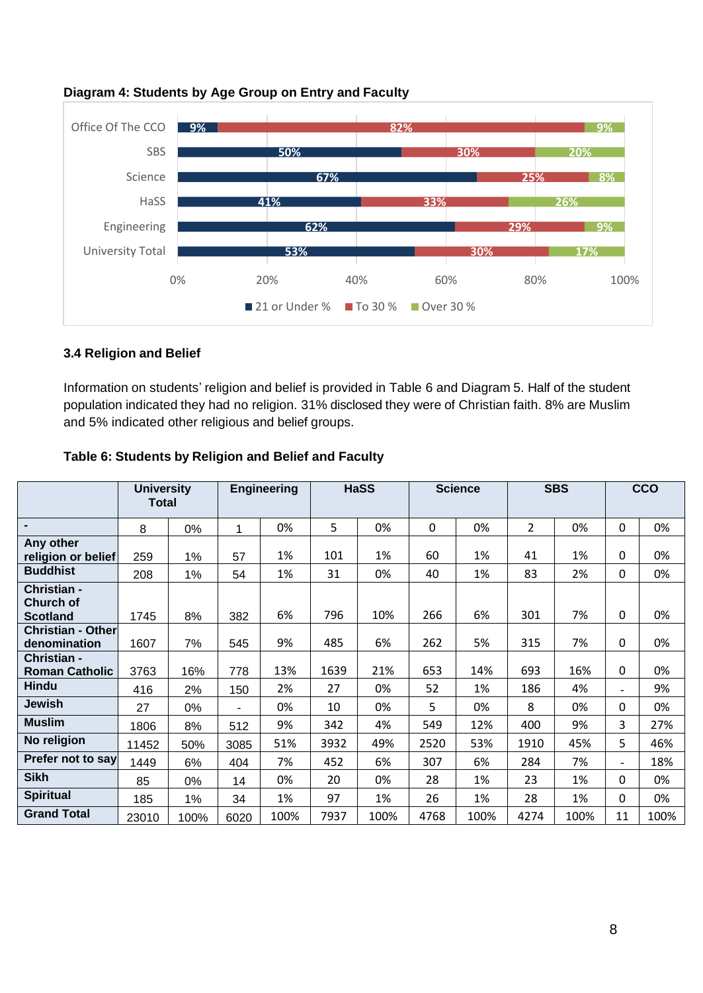

#### **Diagram 4: Students by Age Group on Entry and Faculty**

#### <span id="page-7-0"></span>**3.4 Religion and Belief**

Information on students' religion and belief is provided in Table 6 and Diagram 5. Half of the student population indicated they had no religion. 31% disclosed they were of Christian faith. 8% are Muslim and 5% indicated other religious and belief groups.

|                                                    | <b>University</b><br><b>Total</b> |      |      | <b>Engineering</b> |      | <b>HaSS</b> |      | <b>Science</b> |                | <b>SBS</b> |                | <b>CCO</b> |
|----------------------------------------------------|-----------------------------------|------|------|--------------------|------|-------------|------|----------------|----------------|------------|----------------|------------|
| $\blacksquare$                                     | 8                                 | 0%   | 1    | 0%                 | 5    | 0%          | 0    | 0%             | $\overline{2}$ | 0%         | $\mathbf{0}$   | 0%         |
| Any other<br>religion or belief                    | 259                               | 1%   | 57   | 1%                 | 101  | 1%          | 60   | 1%             | 41             | 1%         | 0              | 0%         |
| <b>Buddhist</b>                                    | 208                               | 1%   | 54   | 1%                 | 31   | 0%          | 40   | 1%             | 83             | 2%         | 0              | 0%         |
| Christian -<br><b>Church of</b><br><b>Scotland</b> | 1745                              | 8%   | 382  | 6%                 | 796  | 10%         | 266  | 6%             | 301            | 7%         | $\mathbf 0$    | 0%         |
| <b>Christian - Other</b><br>denomination           | 1607                              | 7%   | 545  | 9%                 | 485  | 6%          | 262  | 5%             | 315            | 7%         | 0              | 0%         |
| Christian -<br><b>Roman Catholic</b>               | 3763                              | 16%  | 778  | 13%                | 1639 | 21%         | 653  | 14%            | 693            | 16%        | 0              | 0%         |
| <b>Hindu</b>                                       | 416                               | 2%   | 150  | 2%                 | 27   | 0%          | 52   | 1%             | 186            | 4%         | ۰.             | 9%         |
| <b>Jewish</b>                                      | 27                                | 0%   |      | 0%                 | 10   | 0%          | 5    | 0%             | 8              | 0%         | 0              | 0%         |
| <b>Muslim</b>                                      | 1806                              | 8%   | 512  | 9%                 | 342  | 4%          | 549  | 12%            | 400            | 9%         | 3              | 27%        |
| No religion                                        | 11452                             | 50%  | 3085 | 51%                | 3932 | 49%         | 2520 | 53%            | 1910           | 45%        | 5              | 46%        |
| Prefer not to say                                  | 1449                              | 6%   | 404  | 7%                 | 452  | 6%          | 307  | 6%             | 284            | 7%         | $\blacksquare$ | 18%        |
| <b>Sikh</b>                                        | 85                                | 0%   | 14   | 0%                 | 20   | 0%          | 28   | 1%             | 23             | 1%         | 0              | 0%         |
| <b>Spiritual</b>                                   | 185                               | 1%   | 34   | 1%                 | 97   | 1%          | 26   | 1%             | 28             | 1%         | 0              | 0%         |
| <b>Grand Total</b>                                 | 23010                             | 100% | 6020 | 100%               | 7937 | 100%        | 4768 | 100%           | 4274           | 100%       | 11             | 100%       |

#### **Table 6: Students by Religion and Belief and Faculty**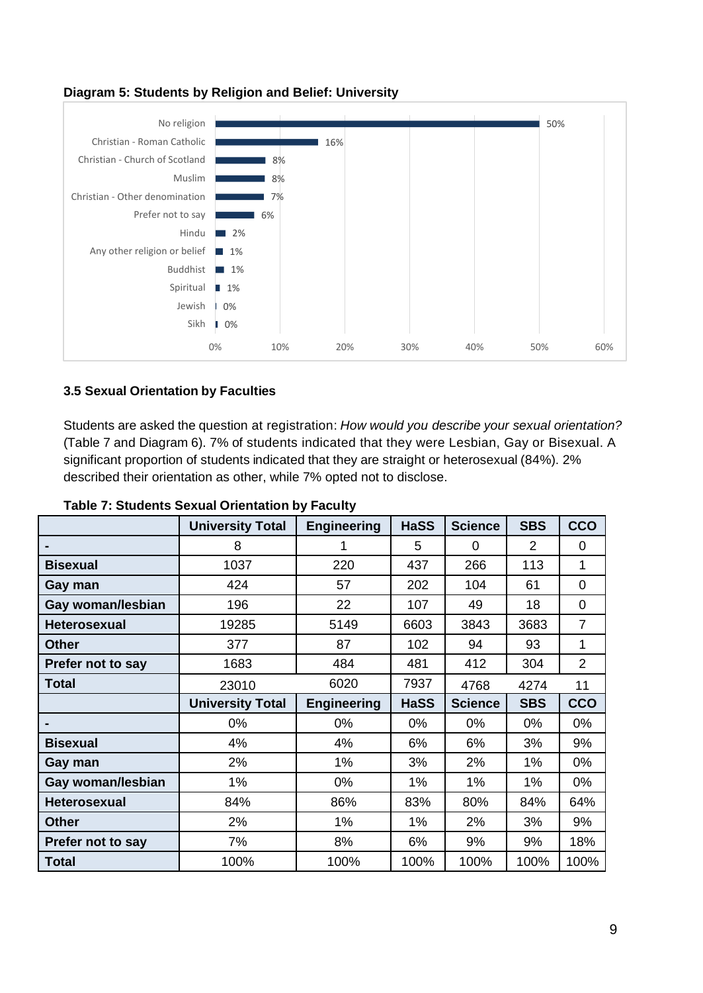

#### **Diagram 5: Students by Religion and Belief: University**

#### <span id="page-8-0"></span>**3.5 Sexual Orientation by Faculties**

Students are asked the question at registration: *How would you describe your sexual orientation?* (Table 7 and Diagram 6). 7% of students indicated that they were Lesbian, Gay or Bisexual. A significant proportion of students indicated that they are straight or heterosexual (84%). 2% described their orientation as other, while 7% opted not to disclose.

|                     | <b>University Total</b> | <b>Engineering</b> | <b>HaSS</b> | <b>Science</b> | <b>SBS</b>     | <b>CCO</b>     |
|---------------------|-------------------------|--------------------|-------------|----------------|----------------|----------------|
|                     | 8                       | 1                  | 5           | 0              | $\overline{2}$ | 0              |
| <b>Bisexual</b>     | 1037                    | 220                | 437         | 266            | 113            | 1              |
| Gay man             | 424                     | 57                 | 202         | 104            | 61             | 0              |
| Gay woman/lesbian   | 196                     | 22                 | 107         | 49             | 18             | 0              |
| <b>Heterosexual</b> | 19285                   | 5149               | 6603        | 3843           | 3683           | $\overline{7}$ |
| <b>Other</b>        | 377                     | 87                 | 102         | 94             | 93             | 1              |
| Prefer not to say   | 1683                    | 484                | 481         | 412            | 304            | $\overline{2}$ |
| <b>Total</b>        | 23010                   | 6020               | 7937        | 4768           | 4274           | 11             |
|                     |                         |                    |             |                |                |                |
|                     | <b>University Total</b> | <b>Engineering</b> | <b>HaSS</b> | <b>Science</b> | <b>SBS</b>     | <b>CCO</b>     |
|                     | 0%                      | 0%                 | 0%          | 0%             | 0%             | 0%             |
| <b>Bisexual</b>     | 4%                      | 4%                 | 6%          | 6%             | 3%             | 9%             |
| Gay man             | 2%                      | 1%                 | 3%          | 2%             | 1%             | 0%             |
| Gay woman/lesbian   | 1%                      | 0%                 | 1%          | 1%             | 1%             | 0%             |
| <b>Heterosexual</b> | 84%                     | 86%                | 83%         | 80%            | 84%            | 64%            |
| <b>Other</b>        | 2%                      | 1%                 | 1%          | 2%             | 3%             | 9%             |
| Prefer not to say   | 7%                      | 8%                 | 6%          | 9%             | 9%             | 18%            |

#### **Table 7: Students Sexual Orientation by Faculty**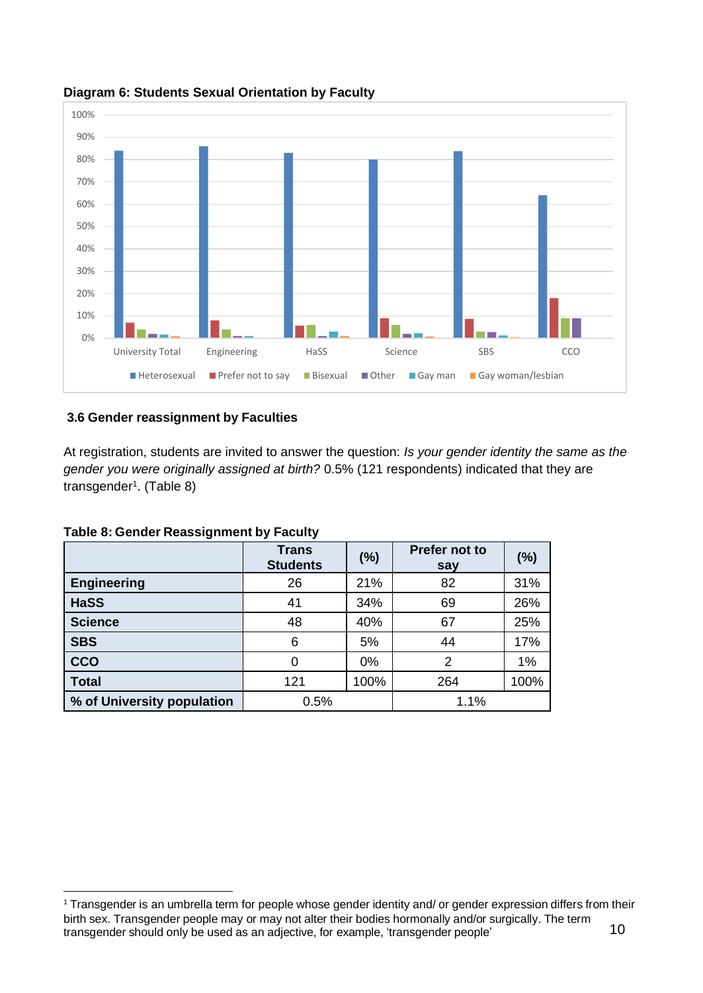

**Diagram 6: Students Sexual Orientation by Faculty**

#### <span id="page-9-0"></span>**3.6 Gender reassignment by Faculties**

At registration, students are invited to answer the question: *Is your gender identity the same as the gender you were originally assigned at birth?* 0.5% (121 respondents) indicated that they are transgender<sup>1</sup>. (Table 8)

|                            | <b>Trans</b><br><b>Students</b> | (%)   | Prefer not to<br>say | (%)  |
|----------------------------|---------------------------------|-------|----------------------|------|
| <b>Engineering</b>         | 26                              | 21%   | 82                   | 31%  |
| <b>HaSS</b>                | 41                              | 34%   | 69                   | 26%  |
| <b>Science</b>             | 48                              | 40%   | 67                   | 25%  |
| <b>SBS</b>                 | 6                               | 5%    | 44                   | 17%  |
| <b>CCO</b>                 | 0                               | $0\%$ | 2                    | 1%   |
| <b>Total</b>               | 121                             | 100%  | 264                  | 100% |
| % of University population | 0.5%                            |       | 1.1%                 |      |

**Table 8: Gender Reassignment by Faculty**

<sup>10</sup>  $\overline{a}$ <sup>1</sup> Transgender is an umbrella term for people whose gender identity and/ or gender expression differs from their birth sex. Transgender people may or may not alter their bodies hormonally and/or surgically. The term transgender should only be used as an adjective, for example, 'transgender people'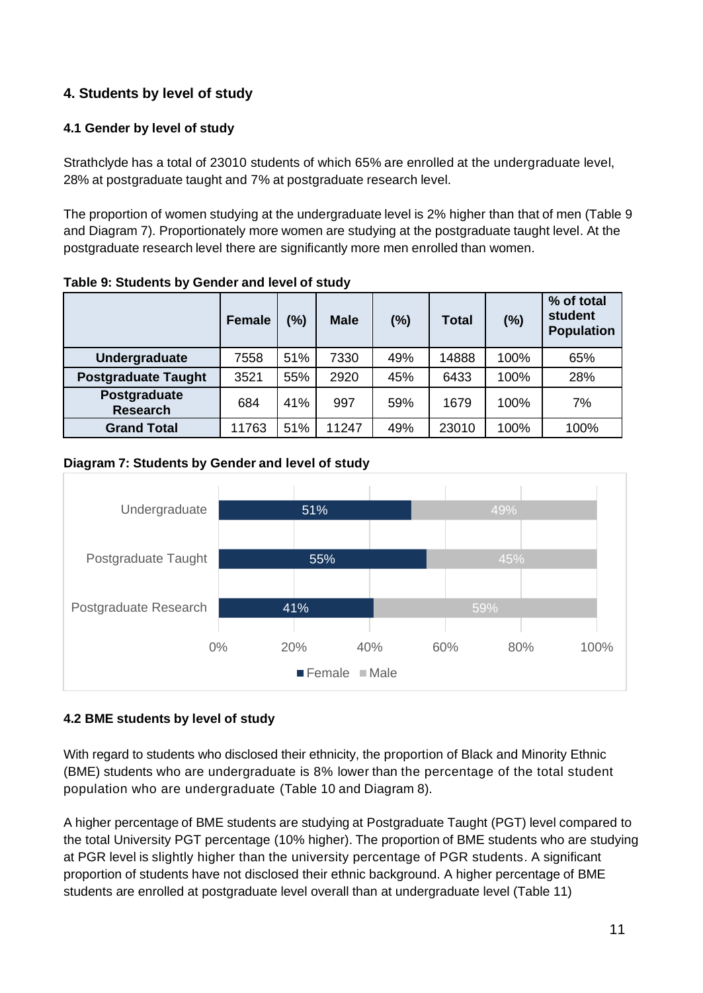## <span id="page-10-0"></span>**4. Students by level of study**

## **4.1 Gender by level of study**

Strathclyde has a total of 23010 students of which 65% are enrolled at the undergraduate level, 28% at postgraduate taught and 7% at postgraduate research level.

The proportion of women studying at the undergraduate level is 2% higher than that of men (Table 9 and Diagram 7). Proportionately more women are studying at the postgraduate taught level. At the postgraduate research level there are significantly more men enrolled than women.

|                                 | <b>Female</b> | (%) | <b>Male</b> | (%) | <b>Total</b> | (%)  | % of total<br>student<br><b>Population</b> |
|---------------------------------|---------------|-----|-------------|-----|--------------|------|--------------------------------------------|
| Undergraduate                   | 7558          | 51% | 7330        | 49% | 14888        | 100% | 65%                                        |
| <b>Postgraduate Taught</b>      | 3521          | 55% | 2920        | 45% | 6433         | 100% | 28%                                        |
| Postgraduate<br><b>Research</b> | 684           | 41% | 997         | 59% | 1679         | 100% | 7%                                         |
| <b>Grand Total</b>              | 11763         | 51% | 11247       | 49% | 23010        | 100% | 100%                                       |

**Table 9: Students by Gender and level of study**

### **Diagram 7: Students by Gender and level of study**



## <span id="page-10-1"></span>**4.2 BME students by level of study**

With regard to students who disclosed their ethnicity, the proportion of Black and Minority Ethnic (BME) students who are undergraduate is 8% lower than the percentage of the total student population who are undergraduate (Table 10 and Diagram 8).

A higher percentage of BME students are studying at Postgraduate Taught (PGT) level compared to the total University PGT percentage (10% higher). The proportion of BME students who are studying at PGR level is slightly higher than the university percentage of PGR students. A significant proportion of students have not disclosed their ethnic background. A higher percentage of BME students are enrolled at postgraduate level overall than at undergraduate level (Table 11)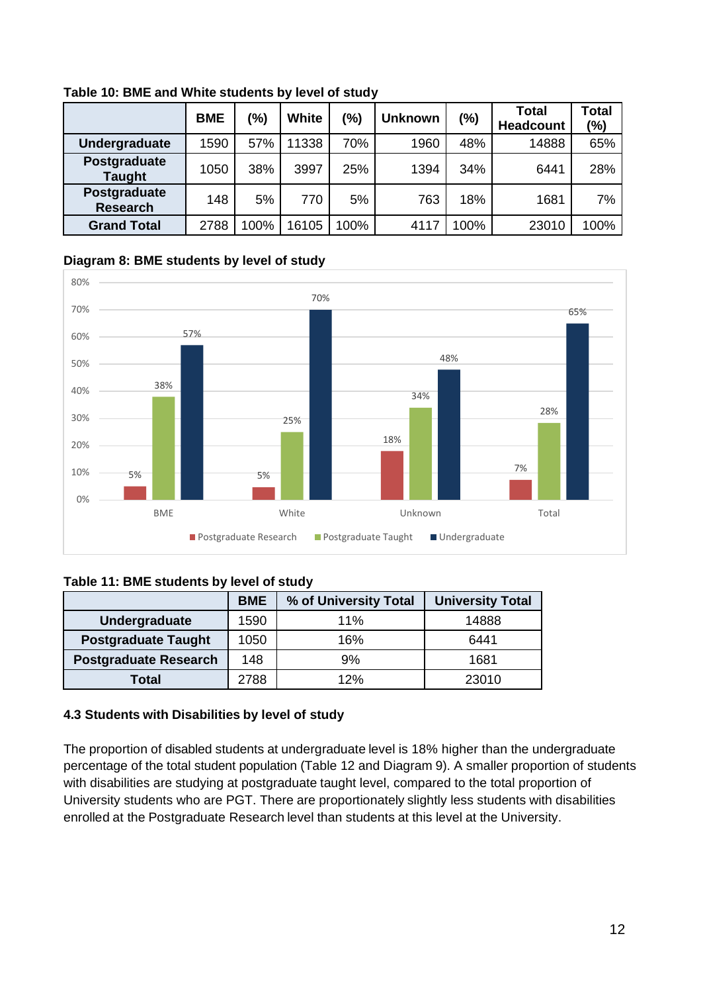|                                 | <b>BME</b> | (%)  | White | $\frac{10}{6}$ | <b>Unknown</b> | $(\%)$ | Total<br><b>Headcount</b> | <b>Total</b><br>$\frac{10}{6}$ |
|---------------------------------|------------|------|-------|----------------|----------------|--------|---------------------------|--------------------------------|
| Undergraduate                   | 1590       | 57%  | 11338 | 70%            | 1960           | 48%    | 14888                     | 65%                            |
| Postgraduate<br><b>Taught</b>   | 1050       | 38%  | 3997  | 25%            | 1394           | 34%    | 6441                      | 28%                            |
| Postgraduate<br><b>Research</b> | 148        | 5%   | 770   | 5%             | 763            | 18%    | 1681                      | 7%                             |
| <b>Grand Total</b>              | 2788       | 100% | 16105 | 100%           | 4117           | 100%   | 23010                     | 100%                           |

**Table 10: BME and White students by level of study**

#### **Diagram 8: BME students by level of study**



#### **Table 11: BME students by level of study**

|                              | <b>BME</b> | % of University Total | <b>University Total</b> |  |
|------------------------------|------------|-----------------------|-------------------------|--|
| Undergraduate                | 1590       | 11%                   | 14888                   |  |
| <b>Postgraduate Taught</b>   | 1050       | 16%                   | 6441                    |  |
| <b>Postgraduate Research</b> | 148        | 9%                    | 1681                    |  |
| Total                        | 2788       | 12%                   | 23010                   |  |

#### <span id="page-11-0"></span>**4.3 Students with Disabilities by level of study**

The proportion of disabled students at undergraduate level is 18% higher than the undergraduate percentage of the total student population (Table 12 and Diagram 9). A smaller proportion of students with disabilities are studying at postgraduate taught level, compared to the total proportion of University students who are PGT. There are proportionately slightly less students with disabilities enrolled at the Postgraduate Research level than students at this level at the University.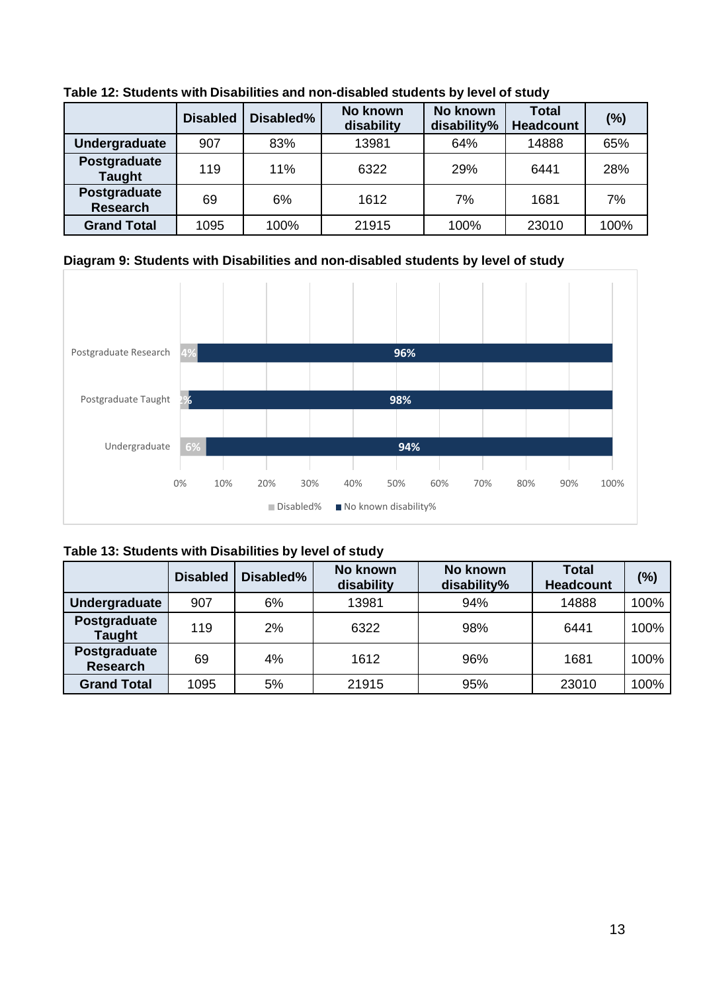|                                 | <b>Disabled</b> | Disabled% | No known<br><b>Total</b><br>No known<br>disability<br>disability%<br><b>Headcount</b> |      | (%)   |      |
|---------------------------------|-----------------|-----------|---------------------------------------------------------------------------------------|------|-------|------|
| <b>Undergraduate</b>            | 907             | 83%       | 13981                                                                                 | 64%  | 14888 | 65%  |
| Postgraduate<br><b>Taught</b>   | 119             | 11%       | 6322                                                                                  | 29%  | 6441  | 28%  |
| Postgraduate<br><b>Research</b> | 69              | 6%        | 1612                                                                                  | 7%   | 1681  | 7%   |
| <b>Grand Total</b>              | 1095            | 100%      | 21915                                                                                 | 100% | 23010 | 100% |

**Table 12: Students with Disabilities and non-disabled students by level of study**

## **Diagram 9: Students with Disabilities and non-disabled students by level of study**



| Table 13: Students with Disabilities by level of study |  |  |  |
|--------------------------------------------------------|--|--|--|
|                                                        |  |  |  |

|                                 | <b>Disabled</b> | Disabled% | No known<br>disability | No known<br>disability% | <b>Total</b><br><b>Headcount</b> | (%)  |
|---------------------------------|-----------------|-----------|------------------------|-------------------------|----------------------------------|------|
| Undergraduate                   | 907             | 6%        | 13981                  | 94%                     | 14888                            | 100% |
| Postgraduate<br><b>Taught</b>   | 119             | 2%        | 6322                   | 98%                     | 6441                             | 100% |
| Postgraduate<br><b>Research</b> | 69              | 4%        | 1612                   | 96%                     | 1681                             | 100% |
| <b>Grand Total</b>              | 1095            | 5%        | 21915                  | 95%                     | 23010                            | 100% |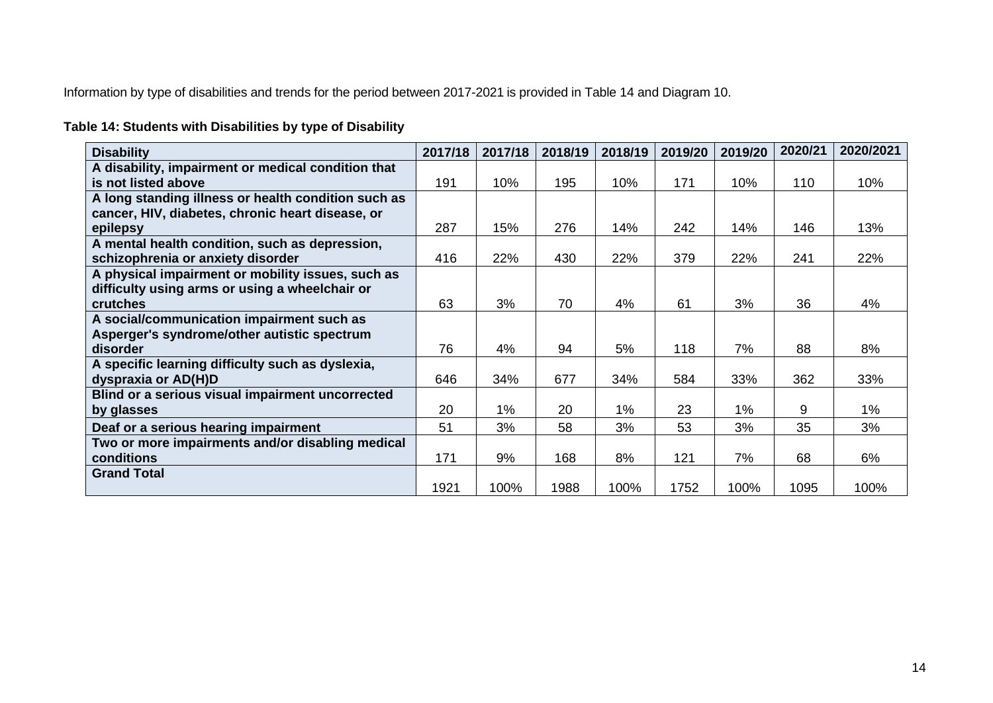Information by type of disabilities and trends for the period between 2017-2021 is provided in Table 14 and Diagram 10.

# **Table 14: Students with Disabilities by type of Disability**

| <b>Disability</b>                                   | 2017/18 | 2017/18 | 2018/19 | 2018/19 | 2019/20 | 2019/20 | 2020/21 | 2020/2021 |
|-----------------------------------------------------|---------|---------|---------|---------|---------|---------|---------|-----------|
| A disability, impairment or medical condition that  |         |         |         |         |         |         |         |           |
| is not listed above                                 | 191     | 10%     | 195     | 10%     | 171     | 10%     | 110     | 10%       |
| A long standing illness or health condition such as |         |         |         |         |         |         |         |           |
| cancer, HIV, diabetes, chronic heart disease, or    |         |         |         |         |         |         |         |           |
| epilepsy                                            | 287     | 15%     | 276     | 14%     | 242     | 14%     | 146     | 13%       |
| A mental health condition, such as depression,      |         |         |         |         |         |         |         |           |
| schizophrenia or anxiety disorder                   | 416     | 22%     | 430     | 22%     | 379     | 22%     | 241     | 22%       |
| A physical impairment or mobility issues, such as   |         |         |         |         |         |         |         |           |
| difficulty using arms or using a wheelchair or      |         |         |         |         |         |         |         |           |
| <b>crutches</b>                                     | 63      | 3%      | 70      | 4%      | 61      | 3%      | 36      | 4%        |
| A social/communication impairment such as           |         |         |         |         |         |         |         |           |
| Asperger's syndrome/other autistic spectrum         |         |         |         |         |         |         |         |           |
| disorder                                            | 76      | 4%      | 94      | 5%      | 118     | 7%      | 88      | 8%        |
| A specific learning difficulty such as dyslexia,    |         |         |         |         |         |         |         |           |
| dyspraxia or AD(H)D                                 | 646     | 34%     | 677     | 34%     | 584     | 33%     | 362     | 33%       |
| Blind or a serious visual impairment uncorrected    |         |         |         |         |         |         |         |           |
| by glasses                                          | 20      | $1\%$   | 20      | 1%      | 23      | 1%      | 9       | $1\%$     |
| Deaf or a serious hearing impairment                | 51      | 3%      | 58      | 3%      | 53      | 3%      | 35      | 3%        |
| Two or more impairments and/or disabling medical    |         |         |         |         |         |         |         |           |
| conditions                                          | 171     | 9%      | 168     | 8%      | 121     | 7%      | 68      | 6%        |
| <b>Grand Total</b>                                  |         |         |         |         |         |         |         |           |
|                                                     | 1921    | 100%    | 1988    | 100%    | 1752    | 100%    | 1095    | 100%      |